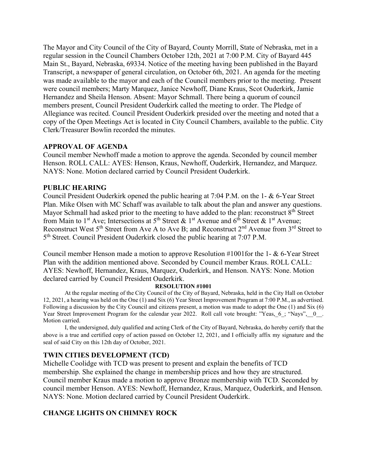The Mayor and City Council of the City of Bayard, County Morrill, State of Nebraska, met in a regular session in the Council Chambers October 12th, 2021 at 7:00 P.M. City of Bayard 445 Main St., Bayard, Nebraska, 69334. Notice of the meeting having been published in the Bayard Transcript, a newspaper of general circulation, on October 6th, 2021. An agenda for the meeting was made available to the mayor and each of the Council members prior to the meeting. Present were council members; Marty Marquez, Janice Newhoff, Diane Kraus, Scot Ouderkirk, Jamie Hernandez and Sheila Henson. Absent: Mayor Schmall. There being a quorum of council members present, Council President Ouderkirk called the meeting to order. The Pledge of Allegiance was recited. Council President Ouderkirk presided over the meeting and noted that a copy of the Open Meetings Act is located in City Council Chambers, available to the public. City Clerk/Treasurer Bowlin recorded the minutes.

### **APPROVAL OF AGENDA**

Council member Newhoff made a motion to approve the agenda. Seconded by council member Henson. ROLL CALL: AYES: Henson, Kraus, Newhoff, Ouderkirk, Hernandez, and Marquez. NAYS: None. Motion declared carried by Council President Ouderkirk.

### **PUBLIC HEARING**

Council President Ouderkirk opened the public hearing at 7:04 P.M. on the 1- & 6-Year Street Plan. Mike Olsen with MC Schaff was available to talk about the plan and answer any questions. Mayor Schmall had asked prior to the meeting to have added to the plan: reconstruct 8<sup>th</sup> Street from Main to 1<sup>st</sup> Ave; Intersections at 5<sup>th</sup> Street & 1<sup>st</sup> Avenue and 6<sup>th</sup> Street & 1<sup>st</sup> Avenue; Reconstruct West  $5<sup>th</sup>$  Street from Ave A to Ave B; and Reconstruct  $2<sup>nd</sup>$  Avenue from  $3<sup>rd</sup>$  Street to 5th Street. Council President Ouderkirk closed the public hearing at 7:07 P.M.

Council member Henson made a motion to approve Resolution #1001for the 1- & 6-Year Street Plan with the addition mentioned above. Seconded by Council member Kraus. ROLL CALL: AYES: Newhoff, Hernandez, Kraus, Marquez, Ouderkirk, and Henson. NAYS: None. Motion declared carried by Council President Ouderkirk.

#### **RESOLUTION #1001**

At the regular meeting of the City Council of the City of Bayard, Nebraska, held in the City Hall on October 12, 2021, a hearing was held on the One (1) and Six (6) Year Street Improvement Program at 7:00 P.M., as advertised. Following a discussion by the City Council and citizens present, a motion was made to adopt the One (1) and Six (6) Year Street Improvement Program for the calendar year 2022. Roll call vote brought: "Yeas, 6; "Nays", 0. Motion carried.

I, the undersigned, duly qualified and acting Clerk of the City of Bayard, Nebraska, do hereby certify that the above is a true and certified copy of action passed on October 12, 2021, and I officially affix my signature and the seal of said City on this 12th day of October, 2021.

### **TWIN CITIES DEVELOPMENT (TCD)**

Michelle Coolidge with TCD was present to present and explain the benefits of TCD membership. She explained the change in membership prices and how they are structured. Council member Kraus made a motion to approve Bronze membership with TCD. Seconded by council member Henson. AYES: Newhoff, Hernandez, Kraus, Marquez, Ouderkirk, and Henson. NAYS: None. Motion declared carried by Council President Ouderkirk.

# **CHANGE LIGHTS ON CHIMNEY ROCK**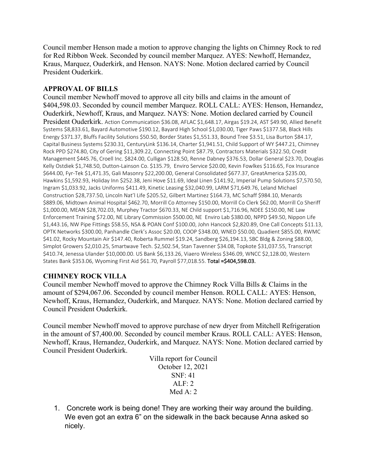Council member Henson made a motion to approve changing the lights on Chimney Rock to red for Red Ribbon Week. Seconded by council member Marquez. AYES: Newhoff, Hernandez, Kraus, Marquez, Ouderkirk, and Henson. NAYS: None. Motion declared carried by Council President Ouderkirk.

## **APPROVAL OF BILLS**

Council member Newhoff moved to approve all city bills and claims in the amount of \$404,598.03. Seconded by council member Marquez. ROLL CALL: AYES: Henson, Hernandez, Ouderkirk, Newhoff, Kraus, and Marquez. NAYS: None. Motion declared carried by Council President Ouderkirk. Action Communication \$36.08, AFLAC \$1,648.17, Airgas \$19.24, AST \$49.90, Allied Benefit Systems \$8,833.61, Bayard Automotive \$190.12, Bayard High School \$1,030.00, Tiger Paws \$1377.58, Black Hills Energy \$371.37, Bluffs Facility Solutions \$50.50, Border States \$1,551.33, Bound Tree \$3.51, Lisa Burton \$84.17, Capital Business Systems \$230.31, CenturyLink \$136.14, Charter \$1,941.51, Child Support of WY \$447.21, Chimney Rock PPD \$274.80, City of Gering \$11,309.22, Connecting Point \$87.79, Contractors Materials \$322.50, Credit Management \$445.76, Croell Inc. \$824.00, Culligan \$128.50, Renne Dabney \$376.53, Dollar General \$23.70, Douglas Kelly Ostdiek \$1,748.50, Dutton-Lainson Co. \$135.79, Enviro Service \$20.00, Kevin Fowlkes \$116.65, Fox Insurance \$644.00, Fyr-Tek \$1,471.35, Gali Masonry \$22,200.00, General Consolidated \$677.37, GreatAmerica \$235.00, Hawkins \$1,592.93, Holiday Inn \$252.38, Jeni Hove \$11.69, Ideal Linen \$141.92, Imperial Pump Solutions \$7,570.50, Ingram \$1,033.92, Jacks Uniforms \$411.49, Kinetic Leasing \$32,040.99, LARM \$71,649.76, Leland Michael Construction \$28,737.50, Lincoln Nat'l Life \$205.52, Gilbert Martinez \$164.73, MC Schaff \$984.10, Menards \$889.06, Midtown Animal Hospital \$462.70, Morrill Co Attorney \$150.00, Morrill Co Clerk \$62.00, Morrill Co Sheriff \$1,000.00, MEAN \$28,702.03, Murphey Tractor \$670.33, NE Child support \$1,716.96, NDEE \$150.00, NE Law Enforcement Training \$72.00, NE Library Commission \$500.00, NE Enviro Lab \$380.00, NPPD \$49.50, Nippon Life \$1,443.16, NW Pipe Fittings \$58.55, NSA & POAN Conf \$100.00, John Hancock \$2,820.89, One Call Concepts \$11.13, OPTK Networks \$300.00, Panhandle Clerk's Assoc \$20.00, COOP \$348.00, WNED \$50.00, Quadient \$855.00, RWMC \$41.02, Rocky Mountain Air \$147.40, Roberta Rummel \$19.24, Sandberg \$26,194.13, SBC Bldg & Zoning \$88.00, Simplot Growers \$2,010.25, Smartwave Tech. \$2,502.54, Stan Tavenner \$34.08, Topkote \$31,037.55, Transcript \$410.74, Jenessa Ulander \$10,000.00. US Bank \$6,133.26, Viaero Wireless \$346.09, WNCC \$2,128.00, Western States Bank \$353.06, Wyoming First Aid \$61.70, Payroll \$77,018.55. Total =\$404,598.03.

# **CHIMNEY ROCK VILLA**

Council member Newhoff moved to approve the Chimney Rock Villa Bills & Claims in the amount of \$294,067.06. Seconded by council member Henson. ROLL CALL: AYES: Henson, Newhoff, Kraus, Hernandez, Ouderkirk, and Marquez. NAYS: None. Motion declared carried by Council President Ouderkirk.

Council member Newhoff moved to approve purchase of new dryer from Mitchell Refrigeration in the amount of \$7,400.00. Seconded by council member Kraus. ROLL CALL: AYES: Henson, Newhoff, Kraus, Hernandez, Ouderkirk, and Marquez. NAYS: None. Motion declared carried by Council President Ouderkirk.

> Villa report for Council October 12, 2021 SNF: 41 ALF: 2 Med A: 2

1. Concrete work is being done! They are working their way around the building. We even got an extra 6" on the sidewalk in the back because Anna asked so nicely.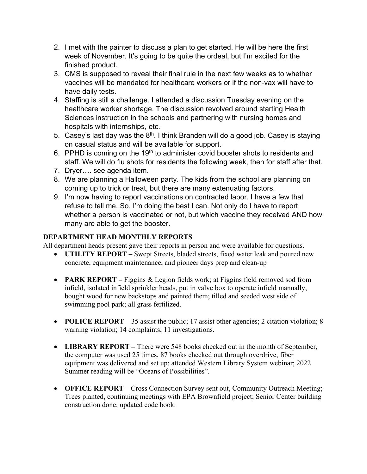- 2. I met with the painter to discuss a plan to get started. He will be here the first week of November. It's going to be quite the ordeal, but I'm excited for the finished product.
- 3. CMS is supposed to reveal their final rule in the next few weeks as to whether vaccines will be mandated for healthcare workers or if the non-vax will have to have daily tests.
- 4. Staffing is still a challenge. I attended a discussion Tuesday evening on the healthcare worker shortage. The discussion revolved around starting Health Sciences instruction in the schools and partnering with nursing homes and hospitals with internships, etc.
- 5. Casey's last day was the  $8<sup>th</sup>$ . I think Branden will do a good job. Casey is staying on casual status and will be available for support.
- 6. PPHD is coming on the 19<sup>th</sup> to administer covid booster shots to residents and staff. We will do flu shots for residents the following week, then for staff after that.
- 7. Dryer…. see agenda item.
- 8. We are planning a Halloween party. The kids from the school are planning on coming up to trick or treat, but there are many extenuating factors.
- 9. I'm now having to report vaccinations on contracted labor. I have a few that refuse to tell me. So, I'm doing the best I can. Not only do I have to report whether a person is vaccinated or not, but which vaccine they received AND how many are able to get the booster.

# **DEPARTMENT HEAD MONTHLY REPORTS**

All department heads present gave their reports in person and were available for questions.

- **UTILITY REPORT** Swept Streets, bladed streets, fixed water leak and poured new concrete, equipment maintenance, and pioneer days prep and clean-up
- **PARK REPORT** Figgins & Legion fields work; at Figgins field removed sod from infield, isolated infield sprinkler heads, put in valve box to operate infield manually, bought wood for new backstops and painted them; tilled and seeded west side of swimming pool park; all grass fertilized.
- **POLICE REPORT** 35 assist the public; 17 assist other agencies; 2 citation violation; 8 warning violation; 14 complaints; 11 investigations.
- **LIBRARY REPORT** There were 548 books checked out in the month of September, the computer was used 25 times, 87 books checked out through overdrive, fiber equipment was delivered and set up; attended Western Library System webinar; 2022 Summer reading will be "Oceans of Possibilities".
- **OFFICE REPORT** Cross Connection Survey sent out, Community Outreach Meeting; Trees planted, continuing meetings with EPA Brownfield project; Senior Center building construction done; updated code book.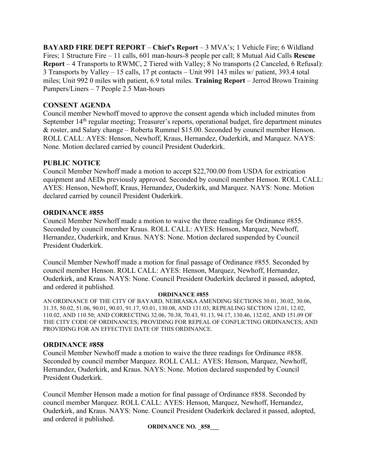**BAYARD FIRE DEPT REPORT** – **Chief's Report** – 3 MVA's; 1 Vehicle Fire; 6 Wildland Fires; 1 Structure Fire – 11 calls, 601 man-hours-8 people per call; 8 Mutual Aid Calls **Rescue Report** – 4 Transports to RWMC, 2 Tiered with Valley; 8 No transports (2 Canceled, 6 Refusal): 3 Transports by Valley – 15 calls, 17 pt contacts – Unit 991 143 miles w/ patient, 393.4 total miles; Unit 992 0 miles with patient, 6.9 total miles. **Training Report** – Jerrod Brown Training Pumpers/Liners – 7 People 2.5 Man-hours

### **CONSENT AGENDA**

Council member Newhoff moved to approve the consent agenda which included minutes from September 14<sup>th</sup> regular meeting; Treasurer's reports, operational budget, fire department minutes & roster, and Salary change – Roberta Rummel \$15.00. Seconded by council member Henson. ROLL CALL: AYES: Henson, Newhoff, Kraus, Hernandez, Ouderkirk, and Marquez. NAYS: None. Motion declared carried by council President Ouderkirk.

## **PUBLIC NOTICE**

Council Member Newhoff made a motion to accept \$22,700.00 from USDA for extrication equipment and AEDs previously approved. Seconded by council member Henson. ROLL CALL: AYES: Henson, Newhoff, Kraus, Hernandez, Ouderkirk, and Marquez. NAYS: None. Motion declared carried by council President Ouderkirk.

### **ORDINANCE #855**

Council Member Newhoff made a motion to waive the three readings for Ordinance #855. Seconded by council member Kraus. ROLL CALL: AYES: Henson, Marquez, Newhoff, Hernandez, Ouderkirk, and Kraus. NAYS: None. Motion declared suspended by Council President Ouderkirk.

Council Member Newhoff made a motion for final passage of Ordinance #855. Seconded by council member Henson. ROLL CALL: AYES: Henson, Marquez, Newhoff, Hernandez, Ouderkirk, and Kraus. NAYS: None. Council President Ouderkirk declared it passed, adopted, and ordered it published.

#### **ORDINANCE #855**

AN ORDINANCE OF THE CITY OF BAYARD, NEBRASKA AMENDING SECTIONS 30.01, 30.02, 30.06, 31.35, 50.02, 51.06, 90.01, 90.03, 91.17, 93.01, 130.08, AND 131.03; REPEALING SECTION 12.01, 12.02, 110.02, AND 110.50; AND CORRECTING 32.06, 70.38, 70.43, 91.13, 94.17, 130.46, 132.02, AND 151.09 OF THE CITY CODE OF ORDINANCES; PROVIDING FOR REPEAL OF CONFLICTING ORDINANCES; AND PROVIDING FOR AN EFFECTIVE DATE OF THIS ORDINANCE.

### **ORDINANCE #858**

Council Member Newhoff made a motion to waive the three readings for Ordinance #858. Seconded by council member Marquez. ROLL CALL: AYES: Henson, Marquez, Newhoff, Hernandez, Ouderkirk, and Kraus. NAYS: None. Motion declared suspended by Council President Ouderkirk.

Council Member Henson made a motion for final passage of Ordinance #858. Seconded by council member Marquez. ROLL CALL: AYES: Henson, Marquez, Newhoff, Hernandez, Ouderkirk, and Kraus. NAYS: None. Council President Ouderkirk declared it passed, adopted, and ordered it published.

#### **ORDINANCE NO. \_858\_\_\_**